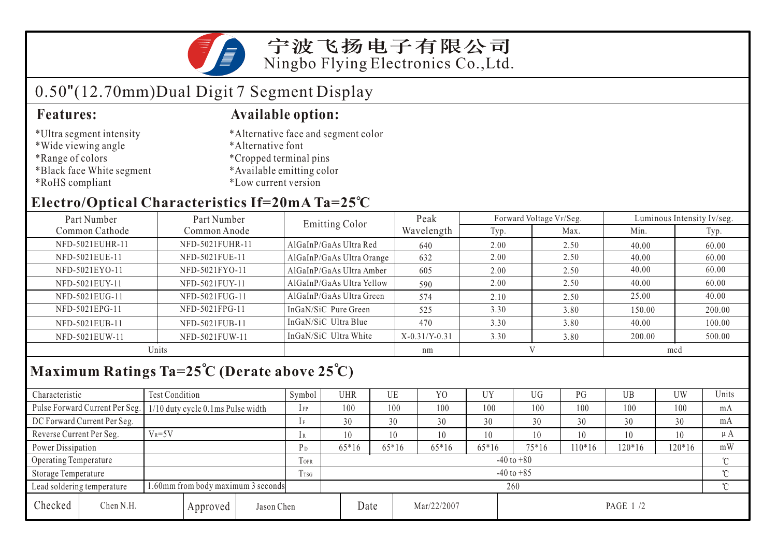宁波飞扬电子有限公司 Ningbo Flying Electronics Co.,Ltd.

## 0.50"(12.70mm)Dual Digit 7 Segment Display

- \*Ultra segment intensity
- \*Wide viewing angle
- \*Range of colors
- \*Black face White segment
- \*RoHS compliant

#### **Features: Available option:**

- \*Alternative face and segment color
- \*Alternative font
- \*Cropped terminal pins
- \*Available emitting color
- \*Low current version

#### **Electro/Optical Characteristics If=20mA Ta=25 C**

| Part Number     | Part Number     | Emitting Color            | Peak            | Forward Voltage VF/Seg. |      | Luminous Intensity Iv/seg. |        |  |
|-----------------|-----------------|---------------------------|-----------------|-------------------------|------|----------------------------|--------|--|
| Common Cathode  | Common Anode    |                           | Wavelength      | Typ.                    | Max. | Min.                       | Typ.   |  |
| NFD-5021EUHR-11 | NFD-5021FUHR-11 | AlGaInP/GaAs Ultra Red    | 640             | 2.00                    | 2.50 | 40.00                      | 60.00  |  |
| NFD-5021EUE-11  | NFD-5021FUE-11  | AlGaInP/GaAs Ultra Orange | 632             | 2.00                    | 2.50 | 40.00                      | 60.00  |  |
| NFD-5021EYO-11  | NFD-5021FYO-11  | AlGaInP/GaAs Ultra Amber  | 605             | 2.00                    | 2.50 | 40.00                      | 60.00  |  |
| NFD-5021EUY-11  | NFD-5021FUY-11  | AlGaInP/GaAs Ultra Yellow | 590             | 2.00                    | 2.50 | 40.00                      | 60.00  |  |
| NFD-5021EUG-11  | NFD-5021FUG-11  | AlGaInP/GaAs Ultra Green  | 574             | 2.10                    | 2.50 | 25.00                      | 40.00  |  |
| NFD-5021EPG-11  | NFD-5021FPG-11  | InGaN/SiC Pure Green      | 525             | 3.30                    | 3.80 | 150.00                     | 200.00 |  |
| NFD-5021EUB-11  | NFD-5021FUB-11  | InGaN/SiC Ultra Blue      | 470             | 3.30                    | 3.80 | 40.00                      | 100.00 |  |
| NFD-5021EUW-11  | NFD-5021FUW-11  | InGaN/SiC Ultra White     | $X-0.31/Y-0.31$ | 3.30                    | 3.80 | 200.00                     | 500.00 |  |
| Units           |                 |                           | nm              |                         |      | mcd                        |        |  |

### **Maximum Ratings Ta=25 C (Derate above 25 C)**

| Characteristic           |                                                                         | <b>Test Condition</b>             |          |                | Symbol | <b>UHR</b>     |                | UE      | Y <sub>0</sub> | <b>UY</b> | UG <sub></sub> | PG       | UB       | UW     | Units   |
|--------------------------|-------------------------------------------------------------------------|-----------------------------------|----------|----------------|--------|----------------|----------------|---------|----------------|-----------|----------------|----------|----------|--------|---------|
|                          | Pulse Forward Current Per Seg.                                          | 1/10 duty cycle 0.1ms Pulse width |          |                | $1$ FP |                | 100            | 100     | 100            | 100       | 100            | 100      | 100      | 100    | mA      |
|                          | DC Forward Current Per Seg.                                             |                                   |          |                | 1F     | 30             |                | 30      | 30             | 30        | 30             | 30       | 30       | 30     | mA      |
| Reverse Current Per Seg. |                                                                         | $V_R = 5V$                        |          |                | 1 R    |                | 10             | 10      | 10             | 10        | 10             | 10       | 10       | 10     | $\mu A$ |
|                          | Power Dissipation                                                       |                                   |          | P <sub>D</sub> |        | $65*16$        | $65*16$        | $65*16$ | $65*16$        | 75*16     | $10*16$        | $120*16$ | $120*16$ | mW     |         |
| Operating Temperature    |                                                                         |                                   |          | <b>TOPR</b>    |        | $-40$ to $+80$ |                |         |                |           |                |          |          | $\sim$ |         |
| Storage Temperature      |                                                                         |                                   |          |                | Trsg   |                | $-40$ to $+85$ |         |                |           |                |          |          |        | $\sim$  |
|                          | 1.60mm from body maximum 3 seconds<br>260<br>Lead soldering temperature |                                   |          |                |        |                |                | $\sim$  |                |           |                |          |          |        |         |
| Checked<br>Chen N.H.     |                                                                         |                                   | Approved | Jason Chen     |        |                | Date           |         | Mar/22/2007    |           | PAGE 1 /2      |          |          |        |         |